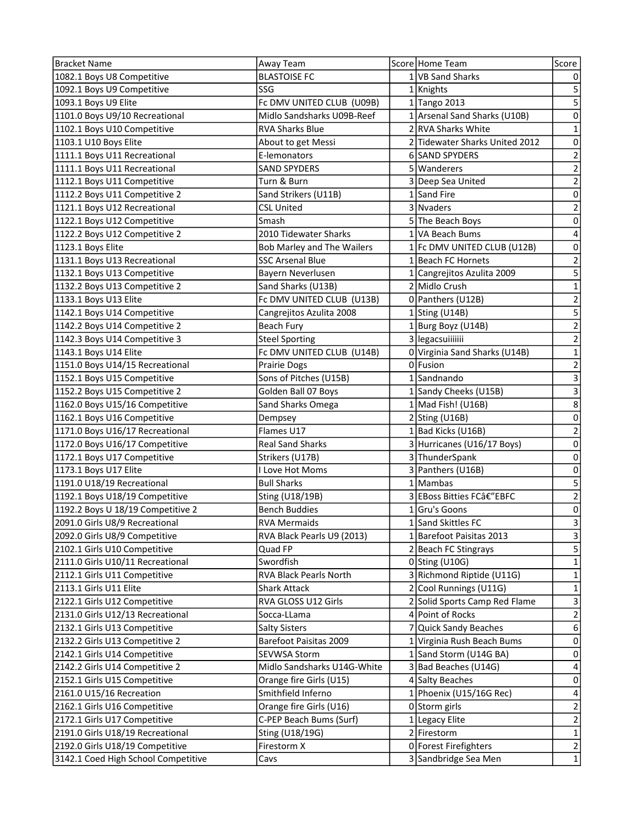| 1082.1 Boys U8 Competitive<br><b>BLASTOISE FC</b><br>1 VB Sand Sharks<br>0<br>$\mathsf S$<br>1092.1 Boys U9 Competitive<br>SSG<br>1 Knights<br>$\overline{5}$<br>Fc DMV UNITED CLUB (U09B)<br>1093.1 Boys U9 Elite<br>1 Tango 2013<br>$\pmb{0}$<br>1101.0 Boys U9/10 Recreational<br>Midlo Sandsharks U09B-Reef<br>1 Arsenal Sand Sharks (U10B)<br>1102.1 Boys U10 Competitive<br><b>RVA Sharks Blue</b><br>2 RVA Sharks White<br>$\mathbf{1}$<br>$\pmb{0}$<br>1103.1 U10 Boys Elite<br>2 Tidewater Sharks United 2012<br>About to get Messi<br>6 SAND SPYDERS<br>$\mathbf 2$<br>1111.1 Boys U11 Recreational<br>E-lemonators<br>$\overline{2}$<br>5 Wanderers<br>1111.1 Boys U11 Recreational<br><b>SAND SPYDERS</b><br>$\mathbf 2$<br>3 Deep Sea United<br>1112.1 Boys U11 Competitive<br>Turn & Burn<br>$\mathbf 0$<br>1112.2 Boys U11 Competitive 2<br>Sand Strikers (U11B)<br>1 Sand Fire<br>$\overline{2}$<br>3 Nvaders<br>1121.1 Boys U12 Recreational<br><b>CSL United</b><br>$\mathbf 0$<br>1122.1 Boys U12 Competitive<br>Smash<br>5 The Beach Boys<br>$\overline{\mathbf{4}}$<br>2010 Tidewater Sharks<br>1122.2 Boys U12 Competitive 2<br>1 VA Beach Bums<br>$\mathbf 0$<br>Bob Marley and The Wailers<br>1 Fc DMV UNITED CLUB (U12B)<br>1123.1 Boys Elite<br>$\mathbf 2$<br>1131.1 Boys U13 Recreational<br><b>SSC Arsenal Blue</b><br>1 Beach FC Hornets<br>$\overline{\mathbf{5}}$<br>1132.1 Boys U13 Competitive<br>Bayern Neverlusen<br>1 Cangrejitos Azulita 2009<br>$\mathbf 1$<br>2 Midlo Crush<br>1132.2 Boys U13 Competitive 2<br>Sand Sharks (U13B)<br>$\overline{2}$<br>Fc DMV UNITED CLUB (U13B)<br>1133.1 Boys U13 Elite<br>0 Panthers (U12B)<br>5<br>1142.1 Boys U14 Competitive<br>Cangrejitos Azulita 2008<br>$1$ Sting (U14B)<br>$\overline{2}$<br>1 Burg Boyz (U14B)<br>1142.2 Boys U14 Competitive 2<br>Beach Fury<br>$\overline{2}$<br>3 legacsuiiiiiii<br>1142.3 Boys U14 Competitive 3<br><b>Steel Sporting</b><br>$\mathbf{1}$<br>Fc DMV UNITED CLUB (U14B)<br>0 Virginia Sand Sharks (U14B)<br>1143.1 Boys U14 Elite<br>$\overline{2}$<br>0 Fusion<br>1151.0 Boys U14/15 Recreational<br>Prairie Dogs<br>$\mathsf 3$<br>1 Sandnando<br>Sons of Pitches (U15B)<br>1152.1 Boys U15 Competitive<br>$\mathsf 3$<br>1152.2 Boys U15 Competitive 2<br>Golden Ball 07 Boys<br>1 Sandy Cheeks (U15B)<br>8<br>1162.0 Boys U15/16 Competitive<br>Sand Sharks Omega<br>1 Mad Fish! (U16B)<br>$\pmb{0}$<br>1162.1 Boys U16 Competitive<br>$2$ Sting (U16B)<br>Dempsey<br>$\overline{2}$<br>1171.0 Boys U16/17 Recreational<br>Flames U17<br>1 Bad Kicks (U16B)<br>$\pmb{0}$<br>3 Hurricanes (U16/17 Boys)<br>1172.0 Boys U16/17 Competitive<br><b>Real Sand Sharks</b><br>$\pmb{0}$<br>1172.1 Boys U17 Competitive<br>3 ThunderSpank<br>Strikers (U17B)<br>$\mathbf 0$<br>1173.1 Boys U17 Elite<br>3 Panthers (U16B)<br>I Love Hot Moms<br>5<br>$1$  Mambas<br>1191.0 U18/19 Recreational<br><b>Bull Sharks</b><br>$\overline{2}$<br>3 EBoss Bitties FCâ€"EBFC<br>1192.1 Boys U18/19 Competitive<br>Sting (U18/19B)<br>1192.2 Boys U 18/19 Competitive 2<br>$\mathbf 0$<br><b>Bench Buddies</b><br>1 Gru's Goons<br>3<br>2091.0 Girls U8/9 Recreational<br>1 Sand Skittles FC<br><b>RVA Mermaids</b><br>$\ensuremath{\mathsf{3}}$<br>2092.0 Girls U8/9 Competitive<br>RVA Black Pearls U9 (2013)<br>1 Barefoot Paisitas 2013<br>2102.1 Girls U10 Competitive<br>5<br>Quad FP<br>2 Beach FC Stingrays<br>$\mathbf 1$<br>2111.0 Girls U10/11 Recreational<br>$0$ Sting (U10G)<br>Swordfish<br>3 Richmond Riptide (U11G)<br>2112.1 Girls U11 Competitive<br>RVA Black Pearls North<br>$\mathbf{1}$<br>2 Cool Runnings (U11G)<br>2113.1 Girls U11 Elite<br>$\mathbf{1}$<br><b>Shark Attack</b><br>$\overline{\mathbf{3}}$<br>2 Solid Sports Camp Red Flame<br>2122.1 Girls U12 Competitive<br>RVA GLOSS U12 Girls<br>$\mathbf 2$<br>2131.0 Girls U12/13 Recreational<br>4 Point of Rocks<br>Socca-LLama<br>6<br>7 Quick Sandy Beaches<br>2132.1 Girls U13 Competitive<br><b>Salty Sisters</b><br>2132.2 Girls U13 Competitive 2<br>Barefoot Paisitas 2009<br>1 Virginia Rush Beach Bums<br>0<br>1 Sand Storm (U14G BA)<br>2142.1 Girls U14 Competitive<br><b>SEVWSA Storm</b><br>0<br>Midlo Sandsharks U14G-White<br>2142.2 Girls U14 Competitive 2<br>3 Bad Beaches (U14G)<br>4<br>4 Salty Beaches<br>2152.1 Girls U15 Competitive<br>Orange fire Girls (U15)<br>0<br>Smithfield Inferno<br>2161.0 U15/16 Recreation<br>1 Phoenix (U15/16G Rec)<br>4<br>$\mathbf 2$<br>2162.1 Girls U16 Competitive<br>Orange fire Girls (U16)<br>0 Storm girls<br>$\mathbf 2$<br>C-PEP Beach Bums (Surf)<br>1 Legacy Elite<br>2172.1 Girls U17 Competitive<br>2 Firestorm<br>$\mathbf 1$<br>2191.0 Girls U18/19 Recreational<br>Sting (U18/19G)<br>2192.0 Girls U18/19 Competitive<br>Firestorm X<br>0 Forest Firefighters<br>$\mathbf 2$<br>$\mathbf{1}$<br>3 Sandbridge Sea Men<br>3142.1 Coed High School Competitive<br>Cavs | <b>Bracket Name</b> | Away Team | Score Home Team | Score |
|-----------------------------------------------------------------------------------------------------------------------------------------------------------------------------------------------------------------------------------------------------------------------------------------------------------------------------------------------------------------------------------------------------------------------------------------------------------------------------------------------------------------------------------------------------------------------------------------------------------------------------------------------------------------------------------------------------------------------------------------------------------------------------------------------------------------------------------------------------------------------------------------------------------------------------------------------------------------------------------------------------------------------------------------------------------------------------------------------------------------------------------------------------------------------------------------------------------------------------------------------------------------------------------------------------------------------------------------------------------------------------------------------------------------------------------------------------------------------------------------------------------------------------------------------------------------------------------------------------------------------------------------------------------------------------------------------------------------------------------------------------------------------------------------------------------------------------------------------------------------------------------------------------------------------------------------------------------------------------------------------------------------------------------------------------------------------------------------------------------------------------------------------------------------------------------------------------------------------------------------------------------------------------------------------------------------------------------------------------------------------------------------------------------------------------------------------------------------------------------------------------------------------------------------------------------------------------------------------------------------------------------------------------------------------------------------------------------------------------------------------------------------------------------------------------------------------------------------------------------------------------------------------------------------------------------------------------------------------------------------------------------------------------------------------------------------------------------------------------------------------------------------------------------------------------------------------------------------------------------------------------------------------------------------------------------------------------------------------------------------------------------------------------------------------------------------------------------------------------------------------------------------------------------------------------------------------------------------------------------------------------------------------------------------------------------------------------------------------------------------------------------------------------------------------------------------------------------------------------------------------------------------------------------------------------------------------------------------------------------------------------------------------------------------------------------------------------------------------------------------------------------------------------------------------------------------------------------------------------------------------------------------------------------------------------------------------------------------------------------------------------------------------------------------------------------------------------------------------------------------------------------------------------------------------------------------------------------------------------------------------------------------------------------------------------------------------------------------------------------------------------------------------------------------------------------------------------------------------------------------------------------------------------------------------------------------|---------------------|-----------|-----------------|-------|
|                                                                                                                                                                                                                                                                                                                                                                                                                                                                                                                                                                                                                                                                                                                                                                                                                                                                                                                                                                                                                                                                                                                                                                                                                                                                                                                                                                                                                                                                                                                                                                                                                                                                                                                                                                                                                                                                                                                                                                                                                                                                                                                                                                                                                                                                                                                                                                                                                                                                                                                                                                                                                                                                                                                                                                                                                                                                                                                                                                                                                                                                                                                                                                                                                                                                                                                                                                                                                                                                                                                                                                                                                                                                                                                                                                                                                                                                                                                                                                                                                                                                                                                                                                                                                                                                                                                                                                                                                                                                                                                                                                                                                                                                                                                                                                                                                                                                                                                                         |                     |           |                 |       |
|                                                                                                                                                                                                                                                                                                                                                                                                                                                                                                                                                                                                                                                                                                                                                                                                                                                                                                                                                                                                                                                                                                                                                                                                                                                                                                                                                                                                                                                                                                                                                                                                                                                                                                                                                                                                                                                                                                                                                                                                                                                                                                                                                                                                                                                                                                                                                                                                                                                                                                                                                                                                                                                                                                                                                                                                                                                                                                                                                                                                                                                                                                                                                                                                                                                                                                                                                                                                                                                                                                                                                                                                                                                                                                                                                                                                                                                                                                                                                                                                                                                                                                                                                                                                                                                                                                                                                                                                                                                                                                                                                                                                                                                                                                                                                                                                                                                                                                                                         |                     |           |                 |       |
|                                                                                                                                                                                                                                                                                                                                                                                                                                                                                                                                                                                                                                                                                                                                                                                                                                                                                                                                                                                                                                                                                                                                                                                                                                                                                                                                                                                                                                                                                                                                                                                                                                                                                                                                                                                                                                                                                                                                                                                                                                                                                                                                                                                                                                                                                                                                                                                                                                                                                                                                                                                                                                                                                                                                                                                                                                                                                                                                                                                                                                                                                                                                                                                                                                                                                                                                                                                                                                                                                                                                                                                                                                                                                                                                                                                                                                                                                                                                                                                                                                                                                                                                                                                                                                                                                                                                                                                                                                                                                                                                                                                                                                                                                                                                                                                                                                                                                                                                         |                     |           |                 |       |
|                                                                                                                                                                                                                                                                                                                                                                                                                                                                                                                                                                                                                                                                                                                                                                                                                                                                                                                                                                                                                                                                                                                                                                                                                                                                                                                                                                                                                                                                                                                                                                                                                                                                                                                                                                                                                                                                                                                                                                                                                                                                                                                                                                                                                                                                                                                                                                                                                                                                                                                                                                                                                                                                                                                                                                                                                                                                                                                                                                                                                                                                                                                                                                                                                                                                                                                                                                                                                                                                                                                                                                                                                                                                                                                                                                                                                                                                                                                                                                                                                                                                                                                                                                                                                                                                                                                                                                                                                                                                                                                                                                                                                                                                                                                                                                                                                                                                                                                                         |                     |           |                 |       |
|                                                                                                                                                                                                                                                                                                                                                                                                                                                                                                                                                                                                                                                                                                                                                                                                                                                                                                                                                                                                                                                                                                                                                                                                                                                                                                                                                                                                                                                                                                                                                                                                                                                                                                                                                                                                                                                                                                                                                                                                                                                                                                                                                                                                                                                                                                                                                                                                                                                                                                                                                                                                                                                                                                                                                                                                                                                                                                                                                                                                                                                                                                                                                                                                                                                                                                                                                                                                                                                                                                                                                                                                                                                                                                                                                                                                                                                                                                                                                                                                                                                                                                                                                                                                                                                                                                                                                                                                                                                                                                                                                                                                                                                                                                                                                                                                                                                                                                                                         |                     |           |                 |       |
|                                                                                                                                                                                                                                                                                                                                                                                                                                                                                                                                                                                                                                                                                                                                                                                                                                                                                                                                                                                                                                                                                                                                                                                                                                                                                                                                                                                                                                                                                                                                                                                                                                                                                                                                                                                                                                                                                                                                                                                                                                                                                                                                                                                                                                                                                                                                                                                                                                                                                                                                                                                                                                                                                                                                                                                                                                                                                                                                                                                                                                                                                                                                                                                                                                                                                                                                                                                                                                                                                                                                                                                                                                                                                                                                                                                                                                                                                                                                                                                                                                                                                                                                                                                                                                                                                                                                                                                                                                                                                                                                                                                                                                                                                                                                                                                                                                                                                                                                         |                     |           |                 |       |
|                                                                                                                                                                                                                                                                                                                                                                                                                                                                                                                                                                                                                                                                                                                                                                                                                                                                                                                                                                                                                                                                                                                                                                                                                                                                                                                                                                                                                                                                                                                                                                                                                                                                                                                                                                                                                                                                                                                                                                                                                                                                                                                                                                                                                                                                                                                                                                                                                                                                                                                                                                                                                                                                                                                                                                                                                                                                                                                                                                                                                                                                                                                                                                                                                                                                                                                                                                                                                                                                                                                                                                                                                                                                                                                                                                                                                                                                                                                                                                                                                                                                                                                                                                                                                                                                                                                                                                                                                                                                                                                                                                                                                                                                                                                                                                                                                                                                                                                                         |                     |           |                 |       |
|                                                                                                                                                                                                                                                                                                                                                                                                                                                                                                                                                                                                                                                                                                                                                                                                                                                                                                                                                                                                                                                                                                                                                                                                                                                                                                                                                                                                                                                                                                                                                                                                                                                                                                                                                                                                                                                                                                                                                                                                                                                                                                                                                                                                                                                                                                                                                                                                                                                                                                                                                                                                                                                                                                                                                                                                                                                                                                                                                                                                                                                                                                                                                                                                                                                                                                                                                                                                                                                                                                                                                                                                                                                                                                                                                                                                                                                                                                                                                                                                                                                                                                                                                                                                                                                                                                                                                                                                                                                                                                                                                                                                                                                                                                                                                                                                                                                                                                                                         |                     |           |                 |       |
|                                                                                                                                                                                                                                                                                                                                                                                                                                                                                                                                                                                                                                                                                                                                                                                                                                                                                                                                                                                                                                                                                                                                                                                                                                                                                                                                                                                                                                                                                                                                                                                                                                                                                                                                                                                                                                                                                                                                                                                                                                                                                                                                                                                                                                                                                                                                                                                                                                                                                                                                                                                                                                                                                                                                                                                                                                                                                                                                                                                                                                                                                                                                                                                                                                                                                                                                                                                                                                                                                                                                                                                                                                                                                                                                                                                                                                                                                                                                                                                                                                                                                                                                                                                                                                                                                                                                                                                                                                                                                                                                                                                                                                                                                                                                                                                                                                                                                                                                         |                     |           |                 |       |
|                                                                                                                                                                                                                                                                                                                                                                                                                                                                                                                                                                                                                                                                                                                                                                                                                                                                                                                                                                                                                                                                                                                                                                                                                                                                                                                                                                                                                                                                                                                                                                                                                                                                                                                                                                                                                                                                                                                                                                                                                                                                                                                                                                                                                                                                                                                                                                                                                                                                                                                                                                                                                                                                                                                                                                                                                                                                                                                                                                                                                                                                                                                                                                                                                                                                                                                                                                                                                                                                                                                                                                                                                                                                                                                                                                                                                                                                                                                                                                                                                                                                                                                                                                                                                                                                                                                                                                                                                                                                                                                                                                                                                                                                                                                                                                                                                                                                                                                                         |                     |           |                 |       |
|                                                                                                                                                                                                                                                                                                                                                                                                                                                                                                                                                                                                                                                                                                                                                                                                                                                                                                                                                                                                                                                                                                                                                                                                                                                                                                                                                                                                                                                                                                                                                                                                                                                                                                                                                                                                                                                                                                                                                                                                                                                                                                                                                                                                                                                                                                                                                                                                                                                                                                                                                                                                                                                                                                                                                                                                                                                                                                                                                                                                                                                                                                                                                                                                                                                                                                                                                                                                                                                                                                                                                                                                                                                                                                                                                                                                                                                                                                                                                                                                                                                                                                                                                                                                                                                                                                                                                                                                                                                                                                                                                                                                                                                                                                                                                                                                                                                                                                                                         |                     |           |                 |       |
|                                                                                                                                                                                                                                                                                                                                                                                                                                                                                                                                                                                                                                                                                                                                                                                                                                                                                                                                                                                                                                                                                                                                                                                                                                                                                                                                                                                                                                                                                                                                                                                                                                                                                                                                                                                                                                                                                                                                                                                                                                                                                                                                                                                                                                                                                                                                                                                                                                                                                                                                                                                                                                                                                                                                                                                                                                                                                                                                                                                                                                                                                                                                                                                                                                                                                                                                                                                                                                                                                                                                                                                                                                                                                                                                                                                                                                                                                                                                                                                                                                                                                                                                                                                                                                                                                                                                                                                                                                                                                                                                                                                                                                                                                                                                                                                                                                                                                                                                         |                     |           |                 |       |
|                                                                                                                                                                                                                                                                                                                                                                                                                                                                                                                                                                                                                                                                                                                                                                                                                                                                                                                                                                                                                                                                                                                                                                                                                                                                                                                                                                                                                                                                                                                                                                                                                                                                                                                                                                                                                                                                                                                                                                                                                                                                                                                                                                                                                                                                                                                                                                                                                                                                                                                                                                                                                                                                                                                                                                                                                                                                                                                                                                                                                                                                                                                                                                                                                                                                                                                                                                                                                                                                                                                                                                                                                                                                                                                                                                                                                                                                                                                                                                                                                                                                                                                                                                                                                                                                                                                                                                                                                                                                                                                                                                                                                                                                                                                                                                                                                                                                                                                                         |                     |           |                 |       |
|                                                                                                                                                                                                                                                                                                                                                                                                                                                                                                                                                                                                                                                                                                                                                                                                                                                                                                                                                                                                                                                                                                                                                                                                                                                                                                                                                                                                                                                                                                                                                                                                                                                                                                                                                                                                                                                                                                                                                                                                                                                                                                                                                                                                                                                                                                                                                                                                                                                                                                                                                                                                                                                                                                                                                                                                                                                                                                                                                                                                                                                                                                                                                                                                                                                                                                                                                                                                                                                                                                                                                                                                                                                                                                                                                                                                                                                                                                                                                                                                                                                                                                                                                                                                                                                                                                                                                                                                                                                                                                                                                                                                                                                                                                                                                                                                                                                                                                                                         |                     |           |                 |       |
|                                                                                                                                                                                                                                                                                                                                                                                                                                                                                                                                                                                                                                                                                                                                                                                                                                                                                                                                                                                                                                                                                                                                                                                                                                                                                                                                                                                                                                                                                                                                                                                                                                                                                                                                                                                                                                                                                                                                                                                                                                                                                                                                                                                                                                                                                                                                                                                                                                                                                                                                                                                                                                                                                                                                                                                                                                                                                                                                                                                                                                                                                                                                                                                                                                                                                                                                                                                                                                                                                                                                                                                                                                                                                                                                                                                                                                                                                                                                                                                                                                                                                                                                                                                                                                                                                                                                                                                                                                                                                                                                                                                                                                                                                                                                                                                                                                                                                                                                         |                     |           |                 |       |
|                                                                                                                                                                                                                                                                                                                                                                                                                                                                                                                                                                                                                                                                                                                                                                                                                                                                                                                                                                                                                                                                                                                                                                                                                                                                                                                                                                                                                                                                                                                                                                                                                                                                                                                                                                                                                                                                                                                                                                                                                                                                                                                                                                                                                                                                                                                                                                                                                                                                                                                                                                                                                                                                                                                                                                                                                                                                                                                                                                                                                                                                                                                                                                                                                                                                                                                                                                                                                                                                                                                                                                                                                                                                                                                                                                                                                                                                                                                                                                                                                                                                                                                                                                                                                                                                                                                                                                                                                                                                                                                                                                                                                                                                                                                                                                                                                                                                                                                                         |                     |           |                 |       |
|                                                                                                                                                                                                                                                                                                                                                                                                                                                                                                                                                                                                                                                                                                                                                                                                                                                                                                                                                                                                                                                                                                                                                                                                                                                                                                                                                                                                                                                                                                                                                                                                                                                                                                                                                                                                                                                                                                                                                                                                                                                                                                                                                                                                                                                                                                                                                                                                                                                                                                                                                                                                                                                                                                                                                                                                                                                                                                                                                                                                                                                                                                                                                                                                                                                                                                                                                                                                                                                                                                                                                                                                                                                                                                                                                                                                                                                                                                                                                                                                                                                                                                                                                                                                                                                                                                                                                                                                                                                                                                                                                                                                                                                                                                                                                                                                                                                                                                                                         |                     |           |                 |       |
|                                                                                                                                                                                                                                                                                                                                                                                                                                                                                                                                                                                                                                                                                                                                                                                                                                                                                                                                                                                                                                                                                                                                                                                                                                                                                                                                                                                                                                                                                                                                                                                                                                                                                                                                                                                                                                                                                                                                                                                                                                                                                                                                                                                                                                                                                                                                                                                                                                                                                                                                                                                                                                                                                                                                                                                                                                                                                                                                                                                                                                                                                                                                                                                                                                                                                                                                                                                                                                                                                                                                                                                                                                                                                                                                                                                                                                                                                                                                                                                                                                                                                                                                                                                                                                                                                                                                                                                                                                                                                                                                                                                                                                                                                                                                                                                                                                                                                                                                         |                     |           |                 |       |
|                                                                                                                                                                                                                                                                                                                                                                                                                                                                                                                                                                                                                                                                                                                                                                                                                                                                                                                                                                                                                                                                                                                                                                                                                                                                                                                                                                                                                                                                                                                                                                                                                                                                                                                                                                                                                                                                                                                                                                                                                                                                                                                                                                                                                                                                                                                                                                                                                                                                                                                                                                                                                                                                                                                                                                                                                                                                                                                                                                                                                                                                                                                                                                                                                                                                                                                                                                                                                                                                                                                                                                                                                                                                                                                                                                                                                                                                                                                                                                                                                                                                                                                                                                                                                                                                                                                                                                                                                                                                                                                                                                                                                                                                                                                                                                                                                                                                                                                                         |                     |           |                 |       |
|                                                                                                                                                                                                                                                                                                                                                                                                                                                                                                                                                                                                                                                                                                                                                                                                                                                                                                                                                                                                                                                                                                                                                                                                                                                                                                                                                                                                                                                                                                                                                                                                                                                                                                                                                                                                                                                                                                                                                                                                                                                                                                                                                                                                                                                                                                                                                                                                                                                                                                                                                                                                                                                                                                                                                                                                                                                                                                                                                                                                                                                                                                                                                                                                                                                                                                                                                                                                                                                                                                                                                                                                                                                                                                                                                                                                                                                                                                                                                                                                                                                                                                                                                                                                                                                                                                                                                                                                                                                                                                                                                                                                                                                                                                                                                                                                                                                                                                                                         |                     |           |                 |       |
|                                                                                                                                                                                                                                                                                                                                                                                                                                                                                                                                                                                                                                                                                                                                                                                                                                                                                                                                                                                                                                                                                                                                                                                                                                                                                                                                                                                                                                                                                                                                                                                                                                                                                                                                                                                                                                                                                                                                                                                                                                                                                                                                                                                                                                                                                                                                                                                                                                                                                                                                                                                                                                                                                                                                                                                                                                                                                                                                                                                                                                                                                                                                                                                                                                                                                                                                                                                                                                                                                                                                                                                                                                                                                                                                                                                                                                                                                                                                                                                                                                                                                                                                                                                                                                                                                                                                                                                                                                                                                                                                                                                                                                                                                                                                                                                                                                                                                                                                         |                     |           |                 |       |
|                                                                                                                                                                                                                                                                                                                                                                                                                                                                                                                                                                                                                                                                                                                                                                                                                                                                                                                                                                                                                                                                                                                                                                                                                                                                                                                                                                                                                                                                                                                                                                                                                                                                                                                                                                                                                                                                                                                                                                                                                                                                                                                                                                                                                                                                                                                                                                                                                                                                                                                                                                                                                                                                                                                                                                                                                                                                                                                                                                                                                                                                                                                                                                                                                                                                                                                                                                                                                                                                                                                                                                                                                                                                                                                                                                                                                                                                                                                                                                                                                                                                                                                                                                                                                                                                                                                                                                                                                                                                                                                                                                                                                                                                                                                                                                                                                                                                                                                                         |                     |           |                 |       |
|                                                                                                                                                                                                                                                                                                                                                                                                                                                                                                                                                                                                                                                                                                                                                                                                                                                                                                                                                                                                                                                                                                                                                                                                                                                                                                                                                                                                                                                                                                                                                                                                                                                                                                                                                                                                                                                                                                                                                                                                                                                                                                                                                                                                                                                                                                                                                                                                                                                                                                                                                                                                                                                                                                                                                                                                                                                                                                                                                                                                                                                                                                                                                                                                                                                                                                                                                                                                                                                                                                                                                                                                                                                                                                                                                                                                                                                                                                                                                                                                                                                                                                                                                                                                                                                                                                                                                                                                                                                                                                                                                                                                                                                                                                                                                                                                                                                                                                                                         |                     |           |                 |       |
|                                                                                                                                                                                                                                                                                                                                                                                                                                                                                                                                                                                                                                                                                                                                                                                                                                                                                                                                                                                                                                                                                                                                                                                                                                                                                                                                                                                                                                                                                                                                                                                                                                                                                                                                                                                                                                                                                                                                                                                                                                                                                                                                                                                                                                                                                                                                                                                                                                                                                                                                                                                                                                                                                                                                                                                                                                                                                                                                                                                                                                                                                                                                                                                                                                                                                                                                                                                                                                                                                                                                                                                                                                                                                                                                                                                                                                                                                                                                                                                                                                                                                                                                                                                                                                                                                                                                                                                                                                                                                                                                                                                                                                                                                                                                                                                                                                                                                                                                         |                     |           |                 |       |
|                                                                                                                                                                                                                                                                                                                                                                                                                                                                                                                                                                                                                                                                                                                                                                                                                                                                                                                                                                                                                                                                                                                                                                                                                                                                                                                                                                                                                                                                                                                                                                                                                                                                                                                                                                                                                                                                                                                                                                                                                                                                                                                                                                                                                                                                                                                                                                                                                                                                                                                                                                                                                                                                                                                                                                                                                                                                                                                                                                                                                                                                                                                                                                                                                                                                                                                                                                                                                                                                                                                                                                                                                                                                                                                                                                                                                                                                                                                                                                                                                                                                                                                                                                                                                                                                                                                                                                                                                                                                                                                                                                                                                                                                                                                                                                                                                                                                                                                                         |                     |           |                 |       |
|                                                                                                                                                                                                                                                                                                                                                                                                                                                                                                                                                                                                                                                                                                                                                                                                                                                                                                                                                                                                                                                                                                                                                                                                                                                                                                                                                                                                                                                                                                                                                                                                                                                                                                                                                                                                                                                                                                                                                                                                                                                                                                                                                                                                                                                                                                                                                                                                                                                                                                                                                                                                                                                                                                                                                                                                                                                                                                                                                                                                                                                                                                                                                                                                                                                                                                                                                                                                                                                                                                                                                                                                                                                                                                                                                                                                                                                                                                                                                                                                                                                                                                                                                                                                                                                                                                                                                                                                                                                                                                                                                                                                                                                                                                                                                                                                                                                                                                                                         |                     |           |                 |       |
|                                                                                                                                                                                                                                                                                                                                                                                                                                                                                                                                                                                                                                                                                                                                                                                                                                                                                                                                                                                                                                                                                                                                                                                                                                                                                                                                                                                                                                                                                                                                                                                                                                                                                                                                                                                                                                                                                                                                                                                                                                                                                                                                                                                                                                                                                                                                                                                                                                                                                                                                                                                                                                                                                                                                                                                                                                                                                                                                                                                                                                                                                                                                                                                                                                                                                                                                                                                                                                                                                                                                                                                                                                                                                                                                                                                                                                                                                                                                                                                                                                                                                                                                                                                                                                                                                                                                                                                                                                                                                                                                                                                                                                                                                                                                                                                                                                                                                                                                         |                     |           |                 |       |
|                                                                                                                                                                                                                                                                                                                                                                                                                                                                                                                                                                                                                                                                                                                                                                                                                                                                                                                                                                                                                                                                                                                                                                                                                                                                                                                                                                                                                                                                                                                                                                                                                                                                                                                                                                                                                                                                                                                                                                                                                                                                                                                                                                                                                                                                                                                                                                                                                                                                                                                                                                                                                                                                                                                                                                                                                                                                                                                                                                                                                                                                                                                                                                                                                                                                                                                                                                                                                                                                                                                                                                                                                                                                                                                                                                                                                                                                                                                                                                                                                                                                                                                                                                                                                                                                                                                                                                                                                                                                                                                                                                                                                                                                                                                                                                                                                                                                                                                                         |                     |           |                 |       |
|                                                                                                                                                                                                                                                                                                                                                                                                                                                                                                                                                                                                                                                                                                                                                                                                                                                                                                                                                                                                                                                                                                                                                                                                                                                                                                                                                                                                                                                                                                                                                                                                                                                                                                                                                                                                                                                                                                                                                                                                                                                                                                                                                                                                                                                                                                                                                                                                                                                                                                                                                                                                                                                                                                                                                                                                                                                                                                                                                                                                                                                                                                                                                                                                                                                                                                                                                                                                                                                                                                                                                                                                                                                                                                                                                                                                                                                                                                                                                                                                                                                                                                                                                                                                                                                                                                                                                                                                                                                                                                                                                                                                                                                                                                                                                                                                                                                                                                                                         |                     |           |                 |       |
|                                                                                                                                                                                                                                                                                                                                                                                                                                                                                                                                                                                                                                                                                                                                                                                                                                                                                                                                                                                                                                                                                                                                                                                                                                                                                                                                                                                                                                                                                                                                                                                                                                                                                                                                                                                                                                                                                                                                                                                                                                                                                                                                                                                                                                                                                                                                                                                                                                                                                                                                                                                                                                                                                                                                                                                                                                                                                                                                                                                                                                                                                                                                                                                                                                                                                                                                                                                                                                                                                                                                                                                                                                                                                                                                                                                                                                                                                                                                                                                                                                                                                                                                                                                                                                                                                                                                                                                                                                                                                                                                                                                                                                                                                                                                                                                                                                                                                                                                         |                     |           |                 |       |
|                                                                                                                                                                                                                                                                                                                                                                                                                                                                                                                                                                                                                                                                                                                                                                                                                                                                                                                                                                                                                                                                                                                                                                                                                                                                                                                                                                                                                                                                                                                                                                                                                                                                                                                                                                                                                                                                                                                                                                                                                                                                                                                                                                                                                                                                                                                                                                                                                                                                                                                                                                                                                                                                                                                                                                                                                                                                                                                                                                                                                                                                                                                                                                                                                                                                                                                                                                                                                                                                                                                                                                                                                                                                                                                                                                                                                                                                                                                                                                                                                                                                                                                                                                                                                                                                                                                                                                                                                                                                                                                                                                                                                                                                                                                                                                                                                                                                                                                                         |                     |           |                 |       |
|                                                                                                                                                                                                                                                                                                                                                                                                                                                                                                                                                                                                                                                                                                                                                                                                                                                                                                                                                                                                                                                                                                                                                                                                                                                                                                                                                                                                                                                                                                                                                                                                                                                                                                                                                                                                                                                                                                                                                                                                                                                                                                                                                                                                                                                                                                                                                                                                                                                                                                                                                                                                                                                                                                                                                                                                                                                                                                                                                                                                                                                                                                                                                                                                                                                                                                                                                                                                                                                                                                                                                                                                                                                                                                                                                                                                                                                                                                                                                                                                                                                                                                                                                                                                                                                                                                                                                                                                                                                                                                                                                                                                                                                                                                                                                                                                                                                                                                                                         |                     |           |                 |       |
|                                                                                                                                                                                                                                                                                                                                                                                                                                                                                                                                                                                                                                                                                                                                                                                                                                                                                                                                                                                                                                                                                                                                                                                                                                                                                                                                                                                                                                                                                                                                                                                                                                                                                                                                                                                                                                                                                                                                                                                                                                                                                                                                                                                                                                                                                                                                                                                                                                                                                                                                                                                                                                                                                                                                                                                                                                                                                                                                                                                                                                                                                                                                                                                                                                                                                                                                                                                                                                                                                                                                                                                                                                                                                                                                                                                                                                                                                                                                                                                                                                                                                                                                                                                                                                                                                                                                                                                                                                                                                                                                                                                                                                                                                                                                                                                                                                                                                                                                         |                     |           |                 |       |
|                                                                                                                                                                                                                                                                                                                                                                                                                                                                                                                                                                                                                                                                                                                                                                                                                                                                                                                                                                                                                                                                                                                                                                                                                                                                                                                                                                                                                                                                                                                                                                                                                                                                                                                                                                                                                                                                                                                                                                                                                                                                                                                                                                                                                                                                                                                                                                                                                                                                                                                                                                                                                                                                                                                                                                                                                                                                                                                                                                                                                                                                                                                                                                                                                                                                                                                                                                                                                                                                                                                                                                                                                                                                                                                                                                                                                                                                                                                                                                                                                                                                                                                                                                                                                                                                                                                                                                                                                                                                                                                                                                                                                                                                                                                                                                                                                                                                                                                                         |                     |           |                 |       |
|                                                                                                                                                                                                                                                                                                                                                                                                                                                                                                                                                                                                                                                                                                                                                                                                                                                                                                                                                                                                                                                                                                                                                                                                                                                                                                                                                                                                                                                                                                                                                                                                                                                                                                                                                                                                                                                                                                                                                                                                                                                                                                                                                                                                                                                                                                                                                                                                                                                                                                                                                                                                                                                                                                                                                                                                                                                                                                                                                                                                                                                                                                                                                                                                                                                                                                                                                                                                                                                                                                                                                                                                                                                                                                                                                                                                                                                                                                                                                                                                                                                                                                                                                                                                                                                                                                                                                                                                                                                                                                                                                                                                                                                                                                                                                                                                                                                                                                                                         |                     |           |                 |       |
|                                                                                                                                                                                                                                                                                                                                                                                                                                                                                                                                                                                                                                                                                                                                                                                                                                                                                                                                                                                                                                                                                                                                                                                                                                                                                                                                                                                                                                                                                                                                                                                                                                                                                                                                                                                                                                                                                                                                                                                                                                                                                                                                                                                                                                                                                                                                                                                                                                                                                                                                                                                                                                                                                                                                                                                                                                                                                                                                                                                                                                                                                                                                                                                                                                                                                                                                                                                                                                                                                                                                                                                                                                                                                                                                                                                                                                                                                                                                                                                                                                                                                                                                                                                                                                                                                                                                                                                                                                                                                                                                                                                                                                                                                                                                                                                                                                                                                                                                         |                     |           |                 |       |
|                                                                                                                                                                                                                                                                                                                                                                                                                                                                                                                                                                                                                                                                                                                                                                                                                                                                                                                                                                                                                                                                                                                                                                                                                                                                                                                                                                                                                                                                                                                                                                                                                                                                                                                                                                                                                                                                                                                                                                                                                                                                                                                                                                                                                                                                                                                                                                                                                                                                                                                                                                                                                                                                                                                                                                                                                                                                                                                                                                                                                                                                                                                                                                                                                                                                                                                                                                                                                                                                                                                                                                                                                                                                                                                                                                                                                                                                                                                                                                                                                                                                                                                                                                                                                                                                                                                                                                                                                                                                                                                                                                                                                                                                                                                                                                                                                                                                                                                                         |                     |           |                 |       |
|                                                                                                                                                                                                                                                                                                                                                                                                                                                                                                                                                                                                                                                                                                                                                                                                                                                                                                                                                                                                                                                                                                                                                                                                                                                                                                                                                                                                                                                                                                                                                                                                                                                                                                                                                                                                                                                                                                                                                                                                                                                                                                                                                                                                                                                                                                                                                                                                                                                                                                                                                                                                                                                                                                                                                                                                                                                                                                                                                                                                                                                                                                                                                                                                                                                                                                                                                                                                                                                                                                                                                                                                                                                                                                                                                                                                                                                                                                                                                                                                                                                                                                                                                                                                                                                                                                                                                                                                                                                                                                                                                                                                                                                                                                                                                                                                                                                                                                                                         |                     |           |                 |       |
|                                                                                                                                                                                                                                                                                                                                                                                                                                                                                                                                                                                                                                                                                                                                                                                                                                                                                                                                                                                                                                                                                                                                                                                                                                                                                                                                                                                                                                                                                                                                                                                                                                                                                                                                                                                                                                                                                                                                                                                                                                                                                                                                                                                                                                                                                                                                                                                                                                                                                                                                                                                                                                                                                                                                                                                                                                                                                                                                                                                                                                                                                                                                                                                                                                                                                                                                                                                                                                                                                                                                                                                                                                                                                                                                                                                                                                                                                                                                                                                                                                                                                                                                                                                                                                                                                                                                                                                                                                                                                                                                                                                                                                                                                                                                                                                                                                                                                                                                         |                     |           |                 |       |
|                                                                                                                                                                                                                                                                                                                                                                                                                                                                                                                                                                                                                                                                                                                                                                                                                                                                                                                                                                                                                                                                                                                                                                                                                                                                                                                                                                                                                                                                                                                                                                                                                                                                                                                                                                                                                                                                                                                                                                                                                                                                                                                                                                                                                                                                                                                                                                                                                                                                                                                                                                                                                                                                                                                                                                                                                                                                                                                                                                                                                                                                                                                                                                                                                                                                                                                                                                                                                                                                                                                                                                                                                                                                                                                                                                                                                                                                                                                                                                                                                                                                                                                                                                                                                                                                                                                                                                                                                                                                                                                                                                                                                                                                                                                                                                                                                                                                                                                                         |                     |           |                 |       |
|                                                                                                                                                                                                                                                                                                                                                                                                                                                                                                                                                                                                                                                                                                                                                                                                                                                                                                                                                                                                                                                                                                                                                                                                                                                                                                                                                                                                                                                                                                                                                                                                                                                                                                                                                                                                                                                                                                                                                                                                                                                                                                                                                                                                                                                                                                                                                                                                                                                                                                                                                                                                                                                                                                                                                                                                                                                                                                                                                                                                                                                                                                                                                                                                                                                                                                                                                                                                                                                                                                                                                                                                                                                                                                                                                                                                                                                                                                                                                                                                                                                                                                                                                                                                                                                                                                                                                                                                                                                                                                                                                                                                                                                                                                                                                                                                                                                                                                                                         |                     |           |                 |       |
|                                                                                                                                                                                                                                                                                                                                                                                                                                                                                                                                                                                                                                                                                                                                                                                                                                                                                                                                                                                                                                                                                                                                                                                                                                                                                                                                                                                                                                                                                                                                                                                                                                                                                                                                                                                                                                                                                                                                                                                                                                                                                                                                                                                                                                                                                                                                                                                                                                                                                                                                                                                                                                                                                                                                                                                                                                                                                                                                                                                                                                                                                                                                                                                                                                                                                                                                                                                                                                                                                                                                                                                                                                                                                                                                                                                                                                                                                                                                                                                                                                                                                                                                                                                                                                                                                                                                                                                                                                                                                                                                                                                                                                                                                                                                                                                                                                                                                                                                         |                     |           |                 |       |
|                                                                                                                                                                                                                                                                                                                                                                                                                                                                                                                                                                                                                                                                                                                                                                                                                                                                                                                                                                                                                                                                                                                                                                                                                                                                                                                                                                                                                                                                                                                                                                                                                                                                                                                                                                                                                                                                                                                                                                                                                                                                                                                                                                                                                                                                                                                                                                                                                                                                                                                                                                                                                                                                                                                                                                                                                                                                                                                                                                                                                                                                                                                                                                                                                                                                                                                                                                                                                                                                                                                                                                                                                                                                                                                                                                                                                                                                                                                                                                                                                                                                                                                                                                                                                                                                                                                                                                                                                                                                                                                                                                                                                                                                                                                                                                                                                                                                                                                                         |                     |           |                 |       |
|                                                                                                                                                                                                                                                                                                                                                                                                                                                                                                                                                                                                                                                                                                                                                                                                                                                                                                                                                                                                                                                                                                                                                                                                                                                                                                                                                                                                                                                                                                                                                                                                                                                                                                                                                                                                                                                                                                                                                                                                                                                                                                                                                                                                                                                                                                                                                                                                                                                                                                                                                                                                                                                                                                                                                                                                                                                                                                                                                                                                                                                                                                                                                                                                                                                                                                                                                                                                                                                                                                                                                                                                                                                                                                                                                                                                                                                                                                                                                                                                                                                                                                                                                                                                                                                                                                                                                                                                                                                                                                                                                                                                                                                                                                                                                                                                                                                                                                                                         |                     |           |                 |       |
|                                                                                                                                                                                                                                                                                                                                                                                                                                                                                                                                                                                                                                                                                                                                                                                                                                                                                                                                                                                                                                                                                                                                                                                                                                                                                                                                                                                                                                                                                                                                                                                                                                                                                                                                                                                                                                                                                                                                                                                                                                                                                                                                                                                                                                                                                                                                                                                                                                                                                                                                                                                                                                                                                                                                                                                                                                                                                                                                                                                                                                                                                                                                                                                                                                                                                                                                                                                                                                                                                                                                                                                                                                                                                                                                                                                                                                                                                                                                                                                                                                                                                                                                                                                                                                                                                                                                                                                                                                                                                                                                                                                                                                                                                                                                                                                                                                                                                                                                         |                     |           |                 |       |
|                                                                                                                                                                                                                                                                                                                                                                                                                                                                                                                                                                                                                                                                                                                                                                                                                                                                                                                                                                                                                                                                                                                                                                                                                                                                                                                                                                                                                                                                                                                                                                                                                                                                                                                                                                                                                                                                                                                                                                                                                                                                                                                                                                                                                                                                                                                                                                                                                                                                                                                                                                                                                                                                                                                                                                                                                                                                                                                                                                                                                                                                                                                                                                                                                                                                                                                                                                                                                                                                                                                                                                                                                                                                                                                                                                                                                                                                                                                                                                                                                                                                                                                                                                                                                                                                                                                                                                                                                                                                                                                                                                                                                                                                                                                                                                                                                                                                                                                                         |                     |           |                 |       |
|                                                                                                                                                                                                                                                                                                                                                                                                                                                                                                                                                                                                                                                                                                                                                                                                                                                                                                                                                                                                                                                                                                                                                                                                                                                                                                                                                                                                                                                                                                                                                                                                                                                                                                                                                                                                                                                                                                                                                                                                                                                                                                                                                                                                                                                                                                                                                                                                                                                                                                                                                                                                                                                                                                                                                                                                                                                                                                                                                                                                                                                                                                                                                                                                                                                                                                                                                                                                                                                                                                                                                                                                                                                                                                                                                                                                                                                                                                                                                                                                                                                                                                                                                                                                                                                                                                                                                                                                                                                                                                                                                                                                                                                                                                                                                                                                                                                                                                                                         |                     |           |                 |       |
|                                                                                                                                                                                                                                                                                                                                                                                                                                                                                                                                                                                                                                                                                                                                                                                                                                                                                                                                                                                                                                                                                                                                                                                                                                                                                                                                                                                                                                                                                                                                                                                                                                                                                                                                                                                                                                                                                                                                                                                                                                                                                                                                                                                                                                                                                                                                                                                                                                                                                                                                                                                                                                                                                                                                                                                                                                                                                                                                                                                                                                                                                                                                                                                                                                                                                                                                                                                                                                                                                                                                                                                                                                                                                                                                                                                                                                                                                                                                                                                                                                                                                                                                                                                                                                                                                                                                                                                                                                                                                                                                                                                                                                                                                                                                                                                                                                                                                                                                         |                     |           |                 |       |
|                                                                                                                                                                                                                                                                                                                                                                                                                                                                                                                                                                                                                                                                                                                                                                                                                                                                                                                                                                                                                                                                                                                                                                                                                                                                                                                                                                                                                                                                                                                                                                                                                                                                                                                                                                                                                                                                                                                                                                                                                                                                                                                                                                                                                                                                                                                                                                                                                                                                                                                                                                                                                                                                                                                                                                                                                                                                                                                                                                                                                                                                                                                                                                                                                                                                                                                                                                                                                                                                                                                                                                                                                                                                                                                                                                                                                                                                                                                                                                                                                                                                                                                                                                                                                                                                                                                                                                                                                                                                                                                                                                                                                                                                                                                                                                                                                                                                                                                                         |                     |           |                 |       |
|                                                                                                                                                                                                                                                                                                                                                                                                                                                                                                                                                                                                                                                                                                                                                                                                                                                                                                                                                                                                                                                                                                                                                                                                                                                                                                                                                                                                                                                                                                                                                                                                                                                                                                                                                                                                                                                                                                                                                                                                                                                                                                                                                                                                                                                                                                                                                                                                                                                                                                                                                                                                                                                                                                                                                                                                                                                                                                                                                                                                                                                                                                                                                                                                                                                                                                                                                                                                                                                                                                                                                                                                                                                                                                                                                                                                                                                                                                                                                                                                                                                                                                                                                                                                                                                                                                                                                                                                                                                                                                                                                                                                                                                                                                                                                                                                                                                                                                                                         |                     |           |                 |       |
|                                                                                                                                                                                                                                                                                                                                                                                                                                                                                                                                                                                                                                                                                                                                                                                                                                                                                                                                                                                                                                                                                                                                                                                                                                                                                                                                                                                                                                                                                                                                                                                                                                                                                                                                                                                                                                                                                                                                                                                                                                                                                                                                                                                                                                                                                                                                                                                                                                                                                                                                                                                                                                                                                                                                                                                                                                                                                                                                                                                                                                                                                                                                                                                                                                                                                                                                                                                                                                                                                                                                                                                                                                                                                                                                                                                                                                                                                                                                                                                                                                                                                                                                                                                                                                                                                                                                                                                                                                                                                                                                                                                                                                                                                                                                                                                                                                                                                                                                         |                     |           |                 |       |
|                                                                                                                                                                                                                                                                                                                                                                                                                                                                                                                                                                                                                                                                                                                                                                                                                                                                                                                                                                                                                                                                                                                                                                                                                                                                                                                                                                                                                                                                                                                                                                                                                                                                                                                                                                                                                                                                                                                                                                                                                                                                                                                                                                                                                                                                                                                                                                                                                                                                                                                                                                                                                                                                                                                                                                                                                                                                                                                                                                                                                                                                                                                                                                                                                                                                                                                                                                                                                                                                                                                                                                                                                                                                                                                                                                                                                                                                                                                                                                                                                                                                                                                                                                                                                                                                                                                                                                                                                                                                                                                                                                                                                                                                                                                                                                                                                                                                                                                                         |                     |           |                 |       |
|                                                                                                                                                                                                                                                                                                                                                                                                                                                                                                                                                                                                                                                                                                                                                                                                                                                                                                                                                                                                                                                                                                                                                                                                                                                                                                                                                                                                                                                                                                                                                                                                                                                                                                                                                                                                                                                                                                                                                                                                                                                                                                                                                                                                                                                                                                                                                                                                                                                                                                                                                                                                                                                                                                                                                                                                                                                                                                                                                                                                                                                                                                                                                                                                                                                                                                                                                                                                                                                                                                                                                                                                                                                                                                                                                                                                                                                                                                                                                                                                                                                                                                                                                                                                                                                                                                                                                                                                                                                                                                                                                                                                                                                                                                                                                                                                                                                                                                                                         |                     |           |                 |       |